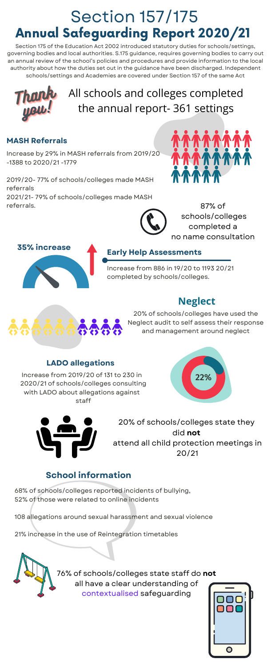

Increase from 886 in 19/20 to 1193 20/21 completed by schools/colleges.

#### **Early Help Assessments**

Increase by 29% in MASH referrals from 2019/20 -1388 to 2020/21 -1779

2019/20- 77% of schools/colleges made MASH referrals 2021/21- 79% of schools/colleges made MASH referrals.





#### **MASH Referrals**

68% of schools/colleges reported incidents of bullying, 52% of those were related to online incidents

108 allegations around sexual harassment and sexual violence

21% increase in the use of Reintegration timetables

# **School information**

Increase from 2019/20 of 131 to 230 in 2020/21 of schools/colleges consulting with LADO about allegations against







#### **LADO allegations**

# Annual Safeguarding Report 2020/21 Section 157/175

Section 175 of the Education Act 2002 introduced statutory duties for schools/settings, governing bodies and local authorities. S.175 guidance, requires governing bodies to carry out an annual review of the school's policies and procedures and provide information to the local authority about how the duties set out in the guidance have been discharged. Independent schools/settings and Academies are covered under Section 157 of the same Act

> 20% of schools/colleges have used the Neglect audit to self assess their response and management around neglect



20% of schools/colleges state they did **not** attend all child protection meetings in 20/21



# All schools and colleges completed the annual report- 361 settings

76% of schools/colleges state staff do **not** all have a clear understanding of contextualised safeguarding



87% of schools/colleges completed a no name consultation

# **Neglect**